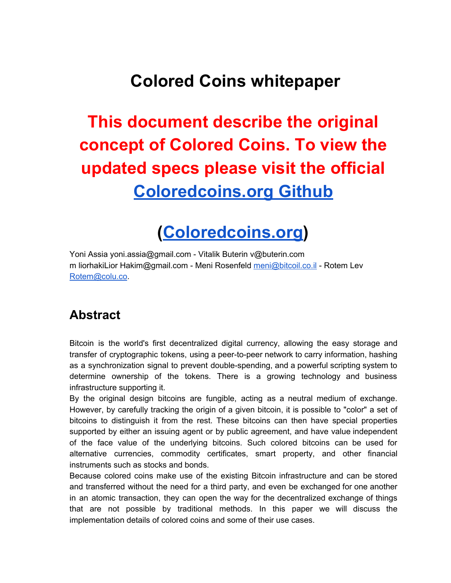# **Colored Coins whitepaper**

**This document describe the original concept of Colored Coins. To view the updated specs please visit the official [Coloredcoins.org](https://github.com/Colored-Coins/Colored-Coins-Protocol-Specification) Github**

# **([Coloredcoins.org](http://coloredcoins.org/))**

Yoni Assia yoni.assia@gmail.com - Vitalik Buterin v@buterin.com m liorhakiLior Hakim@gmail.com - Meni Rosenfeld [meni@bitcoil.co.il](mailto:meni@bitcoil.co.il) - Rotem Lev [Rotem@colu.co.](mailto:Rotem@colu.co)

## **Abstract**

Bitcoin is the world's first decentralized digital currency, allowing the easy storage and transfer of cryptographic tokens, using a peer-to-peer network to carry information, hashing as a synchronization signal to prevent double-spending, and a powerful scripting system to determine ownership of the tokens. There is a growing technology and business infrastructure supporting it.

By the original design bitcoins are fungible, acting as a neutral medium of exchange. However, by carefully tracking the origin of a given bitcoin, it is possible to "color" a set of bitcoins to distinguish it from the rest. These bitcoins can then have special properties supported by either an issuing agent or by public agreement, and have value independent of the face value of the underlying bitcoins. Such colored bitcoins can be used for alternative currencies, commodity certificates, smart property, and other financial instruments such as stocks and bonds.

Because colored coins make use of the existing Bitcoin infrastructure and can be stored and transferred without the need for a third party, and even be exchanged for one another in an atomic transaction, they can open the way for the decentralized exchange of things that are not possible by traditional methods. In this paper we will discuss the implementation details of colored coins and some of their use cases.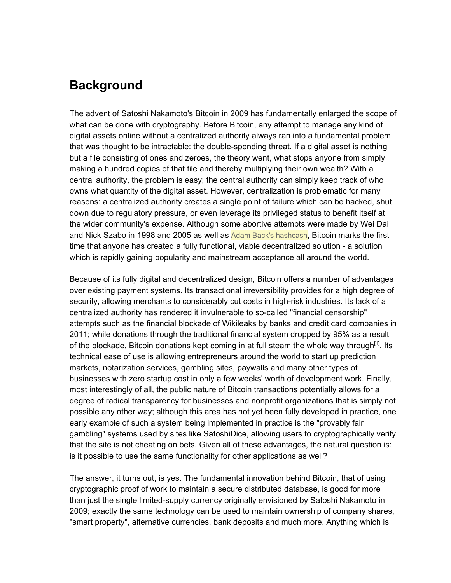## **Background**

The advent of Satoshi Nakamoto's Bitcoin in 2009 has fundamentally enlarged the scope of what can be done with cryptography. Before Bitcoin, any attempt to manage any kind of digital assets online without a centralized authority always ran into a fundamental problem that was thought to be intractable: the double-spending threat. If a digital asset is nothing but a file consisting of ones and zeroes, the theory went, what stops anyone from simply making a hundred copies of that file and thereby multiplying their own wealth? With a central authority, the problem is easy; the central authority can simply keep track of who owns what quantity of the digital asset. However, centralization is problematic for many reasons: a centralized authority creates a single point of failure which can be hacked, shut down due to regulatory pressure, or even leverage its privileged status to benefit itself at the wider community's expense. Although some abortive attempts were made by Wei Dai and Nick Szabo in 1998 and 2005 as well as Adam Back's hashcash, Bitcoin marks the first time that anyone has created a fully functional, viable decentralized solution - a solution which is rapidly gaining popularity and mainstream acceptance all around the world.

Because of its fully digital and decentralized design, Bitcoin offers a number of advantages over existing payment systems. Its transactional irreversibility provides for a high degree of security, allowing merchants to considerably cut costs in high-risk industries. Its lack of a centralized authority has rendered it invulnerable to so-called "financial censorship" attempts such as the financial blockade of Wikileaks by banks and credit card companies in 2011; while donations through the traditional financial system dropped by 95% as a result of the blockade, Bitcoin donations kept coming in at full steam the whole way through<sup>[1]</sup>. Its technical ease of use is allowing entrepreneurs around the world to start up prediction markets, notarization services, gambling sites, paywalls and many other types of businesses with zero startup cost in only a few weeks' worth of development work. Finally, most interestingly of all, the public nature of Bitcoin transactions potentially allows for a degree of radical transparency for businesses and nonprofit organizations that is simply not possible any other way; although this area has not yet been fully developed in practice, one early example of such a system being implemented in practice is the "provably fair gambling" systems used by sites like SatoshiDice, allowing users to cryptographically verify that the site is not cheating on bets. Given all of these advantages, the natural question is: is it possible to use the same functionality for other applications as well?

The answer, it turns out, is yes. The fundamental innovation behind Bitcoin, that of using cryptographic proof of work to maintain a secure distributed database, is good for more than just the single limited-supply currency originally envisioned by Satoshi Nakamoto in 2009; exactly the same technology can be used to maintain ownership of company shares, "smart property", alternative currencies, bank deposits and much more. Anything which is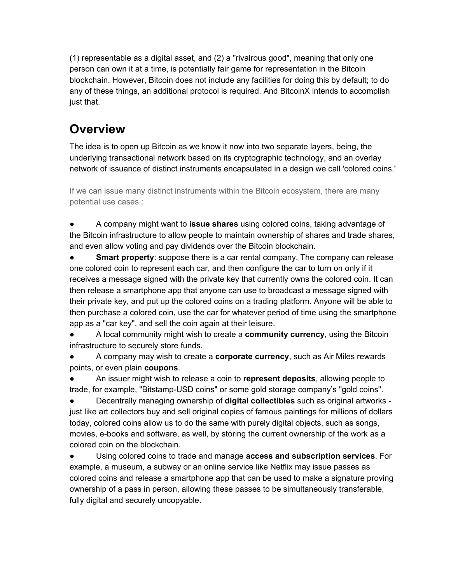(1) representable as a digital asset, and (2) a "rivalrous good", meaning that only one person can own it at a time, is potentially fair game for representation in the Bitcoin blockchain. However, Bitcoin does not include any facilities for doing this by default; to do any of these things, an additional protocol is required. And BitcoinX intends to accomplish just that.

## **Overview**

The idea is to open up Bitcoin as we know it now into two separate layers, being, the underlying transactional network based on its cryptographic technology, and an overlay network of issuance of distinct instruments encapsulated in a design we call 'colored coins.'

If we can issue many distinct instruments within the Bitcoin ecosystem, there are many potential use cases :

● A company might want to **issue shares** using colored coins, taking advantage of the Bitcoin infrastructure to allow people to maintain ownership of shares and trade shares, and even allow voting and pay dividends over the Bitcoin blockchain.

**Smart property**: suppose there is a car rental company. The company can release one colored coin to represent each car, and then configure the car to turn on only if it receives a message signed with the private key that currently owns the colored coin. It can then release a smartphone app that anyone can use to broadcast a message signed with their private key, and put up the colored coins on a trading platform. Anyone will be able to then purchase a colored coin, use the car for whatever period of time using the smartphone app as a "car key", and sell the coin again at their leisure.

● A local community might wish to create a **community currency**, using the Bitcoin infrastructure to securely store funds.

● A company may wish to create a **corporate currency**, such as Air Miles rewards points, or even plain **coupons**.

● An issuer might wish to release a coin to **represent deposits**, allowing people to trade, for example, "Bitstamp-USD coins" or some gold storage company's "gold coins".

● Decentrally managing ownership of **digital collectibles** such as original artworks just like art collectors buy and sell original copies of famous paintings for millions of dollars today, colored coins allow us to do the same with purely digital objects, such as songs, movies, e-books and software, as well, by storing the current ownership of the work as a colored coin on the blockchain.

● Using colored coins to trade and manage **access and subscription services**. For example, a museum, a subway or an online service like Netflix may issue passes as colored coins and release a smartphone app that can be used to make a signature proving ownership of a pass in person, allowing these passes to be simultaneously transferable, fully digital and securely uncopyable.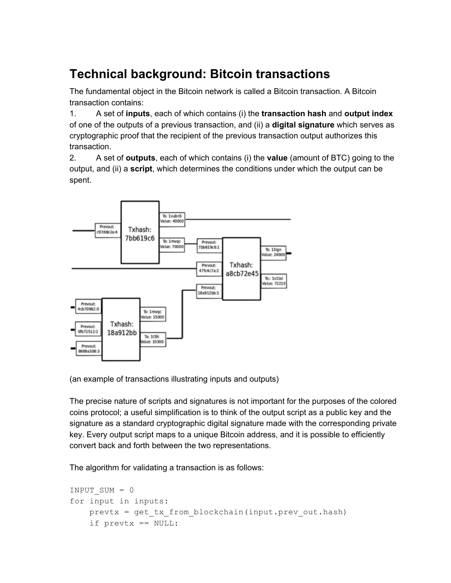## **Technical background: Bitcoin transactions**

The fundamental object in the Bitcoin network is called a Bitcoin transaction. A Bitcoin transaction contains:

1. A set of **inputs**, each of which contains (i) the **transaction hash** and **output index** of one of the outputs of a previous transaction, and (ii) a **digital signature** which serves as cryptographic proof that the recipient of the previous transaction output authorizes this transaction.

2. A set of **outputs**, each of which contains (i) the **value** (amount of BTC) going to the output, and (ii) a **script**, which determines the conditions under which the output can be spent.



(an example of transactions illustrating inputs and outputs)

The precise nature of scripts and signatures is not important for the purposes of the colored coins protocol; a useful simplification is to think of the output script as a public key and the signature as a standard cryptographic digital signature made with the corresponding private key. Every output script maps to a unique Bitcoin address, and it is possible to efficiently convert back and forth between the two representations.

The algorithm for validating a transaction is as follows:

```
INPUT SUM = 0for input in inputs:
   prevtx = get tx from blockchain(input-prev out.hash)if prevtx == NULL:
```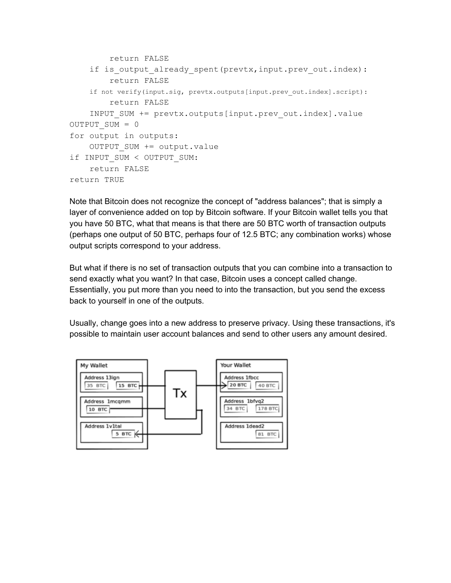```
return FALSE
    if is output already spent(prevtx,input.prev out.index):
        return FALSE
    if not verify(input.sig, prevtx.outputs[input.prev_out.index].script):
        return FALSE
    INPUT_SUM += prevtx.outputs[input.prev_out.index].value
OUTPUT_SUM = 0
for output in outputs:
    OUTPUT_SUM += output.value
if INPUT_SUM < OUTPUT_SUM:
    return FALSE
return TRUE
```
Note that Bitcoin does not recognize the concept of "address balances"; that is simply a layer of convenience added on top by Bitcoin software. If your Bitcoin wallet tells you that you have 50 BTC, what that means is that there are 50 BTC worth of transaction outputs (perhaps one output of 50 BTC, perhaps four of 12.5 BTC; any combination works) whose output scripts correspond to your address.

But what if there is no set of transaction outputs that you can combine into a transaction to send exactly what you want? In that case, Bitcoin uses a concept called change. Essentially, you put more than you need to into the transaction, but you send the excess back to yourself in one of the outputs.

Usually, change goes into a new address to preserve privacy. Using these transactions, it's possible to maintain user account balances and send to other users any amount desired.

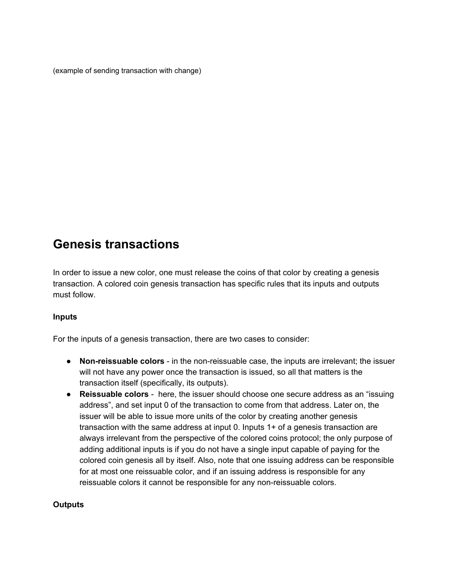(example of sending transaction with change)

## **Genesis transactions**

In order to issue a new color, one must release the coins of that color by creating a genesis transaction. A colored coin genesis transaction has specific rules that its inputs and outputs must follow.

#### **Inputs**

For the inputs of a genesis transaction, there are two cases to consider:

- **Non-reissuable colors** in the non-reissuable case, the inputs are irrelevant; the issuer will not have any power once the transaction is issued, so all that matters is the transaction itself (specifically, its outputs).
- **Reissuable colors** here, the issuer should choose one secure address as an "issuing address", and set input 0 of the transaction to come from that address. Later on, the issuer will be able to issue more units of the color by creating another genesis transaction with the same address at input 0. Inputs 1+ of a genesis transaction are always irrelevant from the perspective of the colored coins protocol; the only purpose of adding additional inputs is if you do not have a single input capable of paying for the colored coin genesis all by itself. Also, note that one issuing address can be responsible for at most one reissuable color, and if an issuing address is responsible for any reissuable colors it cannot be responsible for any non-reissuable colors.

#### **Outputs**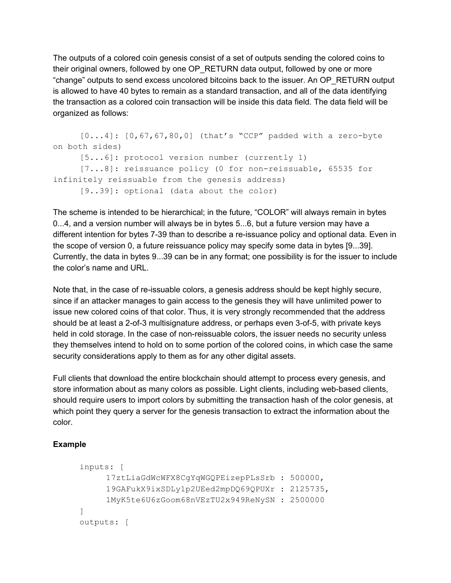The outputs of a colored coin genesis consist of a set of outputs sending the colored coins to their original owners, followed by one OP\_RETURN data output, followed by one or more "change" outputs to send excess uncolored bitcoins back to the issuer. An OP\_RETURN output is allowed to have 40 bytes to remain as a standard transaction, and all of the data identifying the transaction as a colored coin transaction will be inside this data field. The data field will be organized as follows:

```
[0...4]: [0,67,67,80,0] (that's "CCP" padded with a zero-byte
on both sides)
     [5...6]: protocol version number (currently 1)
     [7...8]: reissuance policy (0 for non-reissuable, 65535 for
infinitely reissuable from the genesis address)
     [9..39]: optional (data about the color)
```
The scheme is intended to be hierarchical; in the future, "COLOR" will always remain in bytes 0...4, and a version number will always be in bytes 5...6, but a future version may have a different intention for bytes 7-39 than to describe a re-issuance policy and optional data. Even in the scope of version 0, a future reissuance policy may specify some data in bytes [9...39]. Currently, the data in bytes 9...39 can be in any format; one possibility is for the issuer to include the color's name and URL.

Note that, in the case of re-issuable colors, a genesis address should be kept highly secure, since if an attacker manages to gain access to the genesis they will have unlimited power to issue new colored coins of that color. Thus, it is very strongly recommended that the address should be at least a 2-of-3 multisignature address, or perhaps even 3-of-5, with private keys held in cold storage. In the case of non-reissuable colors, the issuer needs no security unless they themselves intend to hold on to some portion of the colored coins, in which case the same security considerations apply to them as for any other digital assets.

Full clients that download the entire blockchain should attempt to process every genesis, and store information about as many colors as possible. Light clients, including web-based clients, should require users to import colors by submitting the transaction hash of the color genesis, at which point they query a server for the genesis transaction to extract the information about the color.

#### **Example**

```
inputs: [
     17ztLiaGdWcWFX8CgYqWGQPEizepPLsSrb : 500000,
     19GAFukX9ixSDLy1p2UEed2mpDQ69QPUXr : 2125735,
     1MyK5te6U6zGoom68nVEzTU2x949ReNySN : 2500000
\mathbb{I}outputs: [
```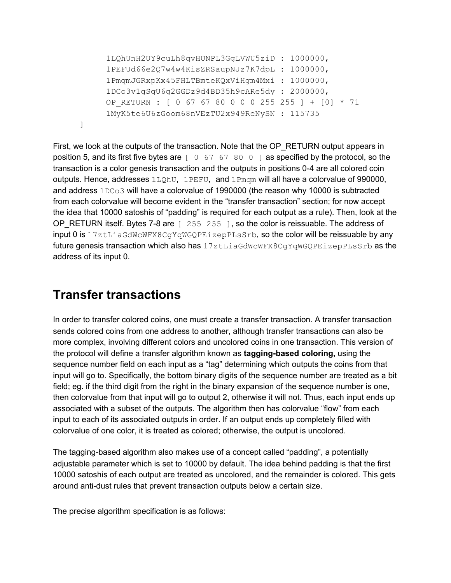```
1LQhUnH2UY9cuLh8qvHUNPL3GgLVWU5ziD : 1000000,
1PEFUd66e2Q7w4w4KisZRSaupNJz7K7dpL : 1000000,
1PmqmJGRxpKx45FHLTBmteKQxViHgm4Mxi : 1000000,
1DCo3v1gSqU6g2GGDz9d4BD35h9cARe5dy : 2000000,
OP RETURN : [ 0 67 67 80 0 0 0 255 255 ] + [0] * 71
1MyK5te6U6zGoom68nVEzTU2x949ReNySN : 115735
```
First, we look at the outputs of the transaction. Note that the OP\_RETURN output appears in position 5, and its first five bytes are  $\lceil 0, 67, 67, 80, 0 \rceil$  as specified by the protocol, so the transaction is a color genesis transaction and the outputs in positions 0-4 are all colored coin outputs. Hence, addresses  $1LQhU$ ,  $1PEFU$ , and  $1Pmqm$  will all have a colorvalue of 990000, and address 1DCo3 will have a colorvalue of 1990000 (the reason why 10000 is subtracted from each colorvalue will become evident in the "transfer transaction" section; for now accept the idea that 10000 satoshis of "padding" is required for each output as a rule). Then, look at the OP\_RETURN itself. Bytes 7-8 are  $[-255 \ 255]$ , so the color is reissuable. The address of input 0 is 17ztLiaGdWcWFX8CgYqWGQPEizepPLsSrb, so the color will be reissuable by any future genesis transaction which also has 17ztLiaGdWcWFX8CqYqWGQPEizepPLsSrb as the address of its input 0.

## **Transfer transactions**

]

In order to transfer colored coins, one must create a transfer transaction. A transfer transaction sends colored coins from one address to another, although transfer transactions can also be more complex, involving different colors and uncolored coins in one transaction. This version of the protocol will define a transfer algorithm known as **tagging-based coloring,** using the sequence number field on each input as a "tag" determining which outputs the coins from that input will go to. Specifically, the bottom binary digits of the sequence number are treated as a bit field; eg. if the third digit from the right in the binary expansion of the sequence number is one, then colorvalue from that input will go to output 2, otherwise it will not. Thus, each input ends up associated with a subset of the outputs. The algorithm then has colorvalue "flow" from each input to each of its associated outputs in order. If an output ends up completely filled with colorvalue of one color, it is treated as colored; otherwise, the output is uncolored.

The tagging-based algorithm also makes use of a concept called "padding", a potentially adjustable parameter which is set to 10000 by default. The idea behind padding is that the first 10000 satoshis of each output are treated as uncolored, and the remainder is colored. This gets around anti-dust rules that prevent transaction outputs below a certain size.

The precise algorithm specification is as follows: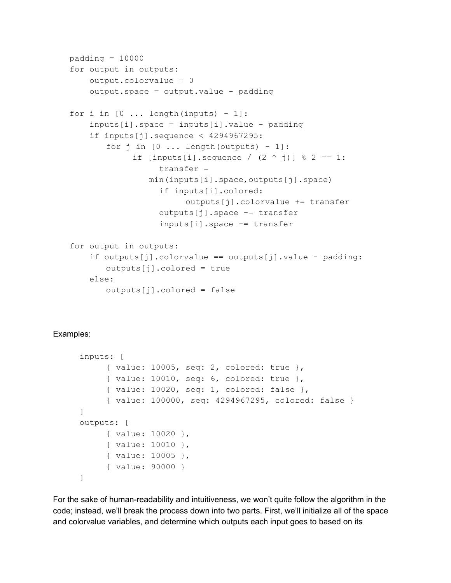```
padding = 10000for output in outputs:
    output.colorvalue = 0
    output.space = output.value - padding
for i in [0 \ldots length(inputs) - 1]:
    inputs[i].space = inputs[i].value - padding
    if inputs[j].sequence < 4294967295:
       for j in [0 \ldots length(outputs) - 1]:
             if [inputs[i].sequence / (2 < j)] % 2 == 1:
                  transfer =
                min(inputs[i].space,outputs[j].space)
                  if inputs[i].colored:
                        outputs[j].colorvalue += transfer
                  outputs[j].space -= transfer
                  inputs[i].space -= transfer
for output in outputs:
    if outputs[j].colorvalue == outputs[j].value - padding:
       outputs[j].colored = true
    else:
       outputs[j].colored = false
```
#### Examples:

```
inputs: [
     { value: 10005, seq: 2, colored: true },
     { value: 10010, seq: 6, colored: true },
     { value: 10020, seq: 1, colored: false },
     { value: 100000, seq: 4294967295, colored: false }
]
outputs: [
     { value: 10020 },
     { value: 10010 },
     { value: 10005 },
     { value: 90000 }
]
```
For the sake of human-readability and intuitiveness, we won't quite follow the algorithm in the code; instead, we'll break the process down into two parts. First, we'll initialize all of the space and colorvalue variables, and determine which outputs each input goes to based on its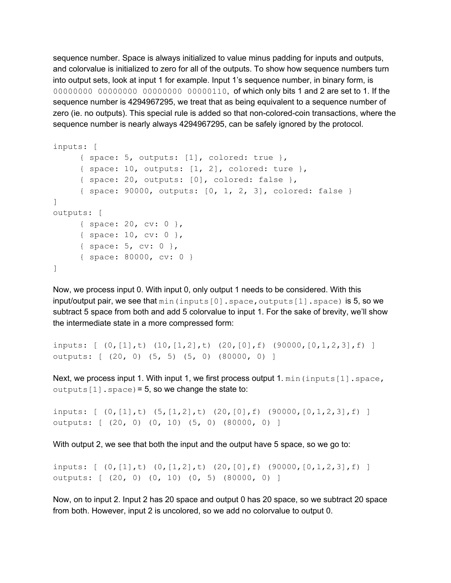sequence number. Space is always initialized to value minus padding for inputs and outputs, and colorvalue is initialized to zero for all of the outputs. To show how sequence numbers turn into output sets, look at input 1 for example. Input 1's sequence number, in binary form, is 00000000 00000000 00000000 00000110, of which only bits 1 and 2 are set to 1. If the sequence number is 4294967295, we treat that as being equivalent to a sequence number of zero (ie. no outputs). This special rule is added so that non-colored-coin transactions, where the sequence number is nearly always 4294967295, can be safely ignored by the protocol.

```
inputs: [
     { space: 5, outputs: [1], colored: true },
     { space: 10, outputs: [1, 2], colored: ture },
     { space: 20, outputs: [0], colored: false },
     { space: 90000, outputs: [0, 1, 2, 3], colored: false }
]
outputs: [
     { space: 20, cv: 0 },
     { space: 10, cv: 0 },
     { space: 5, cv: 0 },
     { space: 80000, cv: 0 }
]
```
Now, we process input 0. With input 0, only output 1 needs to be considered. With this  $input/output$  pair, we see that  $min(inputs[0].space, outputs[1].space)$  is 5, so we subtract 5 space from both and add 5 colorvalue to input 1. For the sake of brevity, we'll show the intermediate state in a more compressed form:

inputs:  $[ (0, [1], t) (10, [1, 2], t) (20, [0], f) (90000, [0, 1, 2, 3], f) ]$ outputs: [ (20, 0) (5, 5) (5, 0) (80000, 0) ]

Next, we process input 1. With input 1, we first process output 1.  $min$  (inputs [1]. space,  $outputs[1]$ .  $space) = 5$ , so we change the state to:

inputs:  $[ (0, [1], t) (5, [1, 2], t) (20, [0], f) (90000, [0, 1, 2, 3], f) ]$ outputs: [ (20, 0) (0, 10) (5, 0) (80000, 0) ]

With output 2, we see that both the input and the output have 5 space, so we go to:

inputs:  $[ (0, [1], t) (0, [1, 2], t) (20, [0], f) (90000, [0, 1, 2, 3], f) ]$ outputs: [ (20, 0) (0, 10) (0, 5) (80000, 0) ]

Now, on to input 2. Input 2 has 20 space and output 0 has 20 space, so we subtract 20 space from both. However, input 2 is uncolored, so we add no colorvalue to output 0.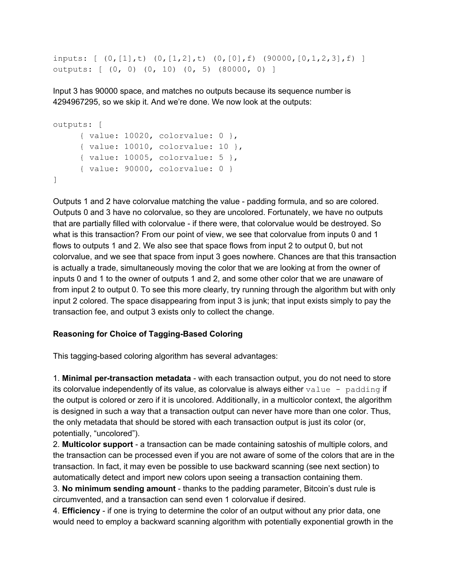```
inputs: [ (0, [1], t) (0, [1, 2], t) (0, [0], f) (90000, [0, 1, 2, 3], f) ]outputs: [ (0, 0) (0, 10) (0, 5) (80000, 0) ]
```
Input 3 has 90000 space, and matches no outputs because its sequence number is 4294967295, so we skip it. And we're done. We now look at the outputs:

```
outputs: [
     { value: 10020, colorvalue: 0 },
     { value: 10010, colorvalue: 10 },
     { value: 10005, colorvalue: 5 },
     { value: 90000, colorvalue: 0 }
]
```
Outputs 1 and 2 have colorvalue matching the value - padding formula, and so are colored. Outputs 0 and 3 have no colorvalue, so they are uncolored. Fortunately, we have no outputs that are partially filled with colorvalue - if there were, that colorvalue would be destroyed. So what is this transaction? From our point of view, we see that colorvalue from inputs 0 and 1 flows to outputs 1 and 2. We also see that space flows from input 2 to output 0, but not colorvalue, and we see that space from input 3 goes nowhere. Chances are that this transaction is actually a trade, simultaneously moving the color that we are looking at from the owner of inputs 0 and 1 to the owner of outputs 1 and 2, and some other color that we are unaware of from input 2 to output 0. To see this more clearly, try running through the algorithm but with only input 2 colored. The space disappearing from input 3 is junk; that input exists simply to pay the transaction fee, and output 3 exists only to collect the change.

#### **Reasoning for Choice of Tagging-Based Coloring**

This tagging-based coloring algorithm has several advantages:

1. **Minimal per-transaction metadata** - with each transaction output, you do not need to store its colorvalue independently of its value, as colorvalue is always either  $value - padding$  if the output is colored or zero if it is uncolored. Additionally, in a multicolor context, the algorithm is designed in such a way that a transaction output can never have more than one color. Thus, the only metadata that should be stored with each transaction output is just its color (or, potentially, "uncolored").

2. **Multicolor support** - a transaction can be made containing satoshis of multiple colors, and the transaction can be processed even if you are not aware of some of the colors that are in the transaction. In fact, it may even be possible to use backward scanning (see next section) to automatically detect and import new colors upon seeing a transaction containing them.

3. **No minimum sending amount** - thanks to the padding parameter, Bitcoin's dust rule is circumvented, and a transaction can send even 1 colorvalue if desired.

4. **Efficiency** - if one is trying to determine the color of an output without any prior data, one would need to employ a backward scanning algorithm with potentially exponential growth in the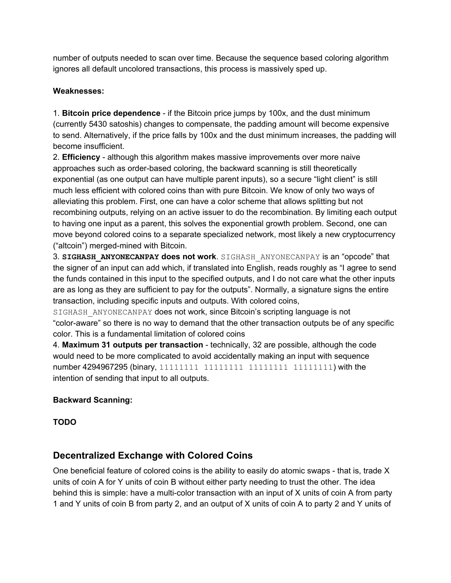number of outputs needed to scan over time. Because the sequence based coloring algorithm ignores all default uncolored transactions, this process is massively sped up.

#### **Weaknesses:**

1. **Bitcoin price dependence** - if the Bitcoin price jumps by 100x, and the dust minimum (currently 5430 satoshis) changes to compensate, the padding amount will become expensive to send. Alternatively, if the price falls by 100x and the dust minimum increases, the padding will become insufficient.

2. **Efficiency** - although this algorithm makes massive improvements over more naive approaches such as order-based coloring, the backward scanning is still theoretically exponential (as one output can have multiple parent inputs), so a secure "light client" is still much less efficient with colored coins than with pure Bitcoin. We know of only two ways of alleviating this problem. First, one can have a color scheme that allows splitting but not recombining outputs, relying on an active issuer to do the recombination. By limiting each output to having one input as a parent, this solves the exponential growth problem. Second, one can move beyond colored coins to a separate specialized network, most likely a new cryptocurrency ("altcoin") merged-mined with Bitcoin.

3. **SIGHASH\_ANYONECANPAY does not work**. SIGHASH\_ANYONECANPAY is an "opcode" that the signer of an input can add which, if translated into English, reads roughly as "I agree to send the funds contained in this input to the specified outputs, and I do not care what the other inputs are as long as they are sufficient to pay for the outputs". Normally, a signature signs the entire transaction, including specific inputs and outputs. With colored coins,

SIGHASH ANYONECANPAY does not work, since Bitcoin's scripting language is not "color-aware" so there is no way to demand that the other transaction outputs be of any specific color. This is a fundamental limitation of colored coins

4. **Maximum 31 outputs per transaction** - technically, 32 are possible, although the code would need to be more complicated to avoid accidentally making an input with sequence number 4294967295 (binary, 11111111 11111111 11111111 11111111) with the intention of sending that input to all outputs.

### **Backward Scanning:**

**TODO**

## **Decentralized Exchange with Colored Coins**

One beneficial feature of colored coins is the ability to easily do atomic swaps - that is, trade X units of coin A for Y units of coin B without either party needing to trust the other. The idea behind this is simple: have a multi-color transaction with an input of X units of coin A from party 1 and Y units of coin B from party 2, and an output of X units of coin A to party 2 and Y units of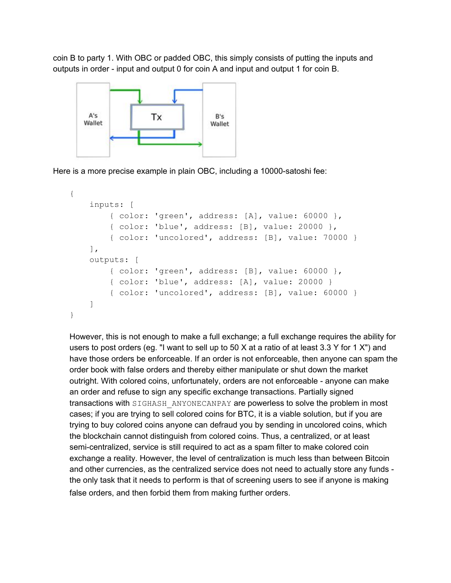coin B to party 1. With OBC or padded OBC, this simply consists of putting the inputs and outputs in order - input and output 0 for coin A and input and output 1 for coin B.



Here is a more precise example in plain OBC, including a 10000-satoshi fee:

```
{
    inputs: [
        { color: 'green', address: [A], value: 60000 },
        { color: 'blue', address: [B], value: 20000 },
        { color: 'uncolored', address: [B], value: 70000 }
    \frac{1}{2},
    outputs: [
        { color: 'green', address: [B], value: 60000 },
        { color: 'blue', address: [A], value: 20000 }
        { color: 'uncolored', address: [B], value: 60000 }
    \mathbf{I}}
```
However, this is not enough to make a full exchange; a full exchange requires the ability for users to post orders (eg. "I want to sell up to 50 X at a ratio of at least 3.3 Y for 1 X") and have those orders be enforceable. If an order is not enforceable, then anyone can spam the order book with false orders and thereby either manipulate or shut down the market outright. With colored coins, unfortunately, orders are not enforceable - anyone can make an order and refuse to sign any specific exchange transactions. Partially signed transactions with SIGHASH\_ANYONECANPAY are powerless to solve the problem in most cases; if you are trying to sell colored coins for BTC, it is a viable solution, but if you are trying to buy colored coins anyone can defraud you by sending in uncolored coins, which the blockchain cannot distinguish from colored coins. Thus, a centralized, or at least semi-centralized, service is still required to act as a spam filter to make colored coin exchange a reality. However, the level of centralization is much less than between Bitcoin and other currencies, as the centralized service does not need to actually store any funds the only task that it needs to perform is that of screening users to see if anyone is making false orders, and then forbid them from making further orders.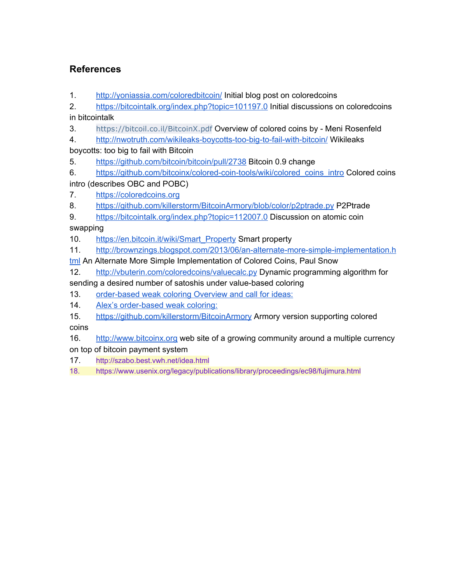## **References**

- 1. <http://yoniassia.com/coloredbitcoin/> Initial blog post on coloredcoins
- 2. <https://bitcointalk.org/index.php?topic=101197.0> Initial discussions on coloredcoins in bitcointalk
- 3. <https://bitcoil.co.il/BitcoinX.pdf> Overview of colored coins by Meni Rosenfeld
- 4. <http://nwotruth.com/wikileaks-boycotts-too-big-to-fail-with-bitcoin/> Wikileaks

## boycotts: too big to fail with Bitcoin

- 5. <https://github.com/bitcoin/bitcoin/pull/2738> Bitcoin 0.9 change
- 6. [https://github.com/bitcoinx/colored-coin-tools/wiki/colored\\_coins\\_intro](https://github.com/bitcoinx/colored-coin-tools/wiki/colored_coins_intro) Colored coins intro (describes OBC and POBC)
- 7. [https://coloredcoins.org](https://coloredcoins.org/)
- 8. <https://github.com/killerstorm/BitcoinArmory/blob/color/p2ptrade.py> P2Ptrade
- 9. <https://bitcointalk.org/index.php?topic=112007.0> Discussion on atomic coin

swapping

- 10. [https://en.bitcoin.it/wiki/Smart\\_Property](https://en.bitcoin.it/wiki/Smart_Property) Smart property
- 11. [http://brownzings.blogspot.com/2013/06/an-alternate-more-simple-implementation.h](http://brownzings.blogspot.com/2013/06/an-alternate-more-simple-implementation.html)
- [tml](http://brownzings.blogspot.com/2013/06/an-alternate-more-simple-implementation.html) An Alternate More Simple Implementation of Colored Coins, Paul Snow
- 12. [http://vbuterin.com/coloredcoins/valuecalc.py](http://vbuterin.com/valuecalc.py) Dynamic programming algorithm for sending a desired number of satoshis under value-based coloring
- 
- 13. [order-based](https://docs.google.com/document/d/1pOaWe1fWdcUUKdyXz3rMWQneGLfTg89QaIBkS91nngE/edit) weak coloring Overview and call for ideas:
- 14. [Alex's](https://github.com/killerstorm/colored-coin-tools/blob/master/colors.md) [order-based](https://github.com/killerstorm/colored-coin-tools/blob/master/colors.md) weak colorin[g:](https://github.com/killerstorm/colored-coin-tools/blob/master/colors.md)
- 15. <https://github.com/killerstorm/BitcoinArmory> Armory version supporting colored coins
- 16. [http://www.bitcoinx.org](http://www.bitcoinx.org/) web site of a growing community around a multiple currency

### on top of bitcoin payment system

- 17. <http://szabo.best.vwh.net/idea.html>
- 18. <https://www.usenix.org/legacy/publications/library/proceedings/ec98/fujimura.html>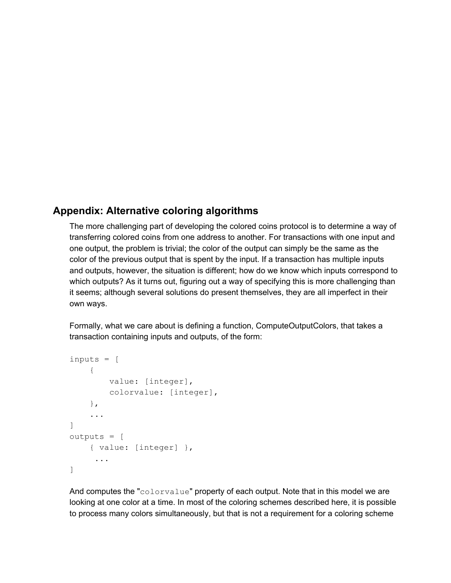## **Appendix: Alternative coloring algorithms**

The more challenging part of developing the colored coins protocol is to determine a way of transferring colored coins from one address to another. For transactions with one input and one output, the problem is trivial; the color of the output can simply be the same as the color of the previous output that is spent by the input. If a transaction has multiple inputs and outputs, however, the situation is different; how do we know which inputs correspond to which outputs? As it turns out, figuring out a way of specifying this is more challenging than it seems; although several solutions do present themselves, they are all imperfect in their own ways.

Formally, what we care about is defining a function, ComputeOutputColors, that takes a transaction containing inputs and outputs, of the form:

```
inputs = [
    {
        value: [integer],
        colorvalue: [integer],
    },
    ...
]
outputs = [
   { value: [integer] },
     ...
]
```
And computes the "colorvalue" property of each output. Note that in this model we are looking at one color at a time. In most of the coloring schemes described here, it is possible to process many colors simultaneously, but that is not a requirement for a coloring scheme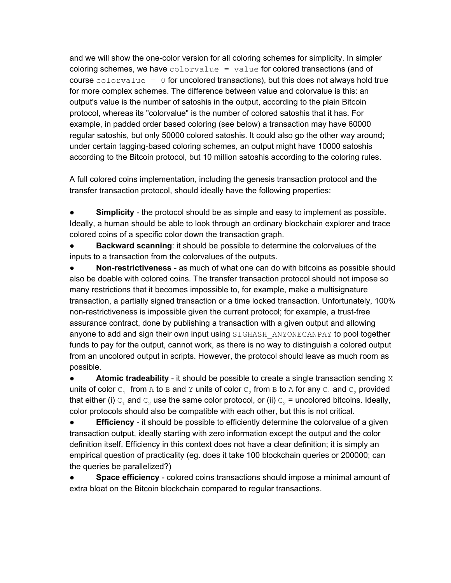and we will show the one-color version for all coloring schemes for simplicity. In simpler coloring schemes, we have colorvalue  $=$  value for colored transactions (and of course  $\text{colorualue} = 0$  for uncolored transactions), but this does not always hold true for more complex schemes. The difference between value and colorvalue is this: an output's value is the number of satoshis in the output, according to the plain Bitcoin protocol, whereas its "colorvalue" is the number of colored satoshis that it has. For example, in padded order based coloring (see below) a transaction may have 60000 regular satoshis, but only 50000 colored satoshis. It could also go the other way around; under certain tagging-based coloring schemes, an output might have 10000 satoshis according to the Bitcoin protocol, but 10 million satoshis according to the coloring rules.

A full colored coins implementation, including the genesis transaction protocol and the transfer transaction protocol, should ideally have the following properties:

**Simplicity** - the protocol should be as simple and easy to implement as possible. Ideally, a human should be able to look through an ordinary blockchain explorer and trace colored coins of a specific color down the transaction graph.

**Backward scanning**: it should be possible to determine the colorvalues of the inputs to a transaction from the colorvalues of the outputs.

Non-restrictiveness - as much of what one can do with bitcoins as possible should also be doable with colored coins. The transfer transaction protocol should not impose so many restrictions that it becomes impossible to, for example, make a multisignature transaction, a partially signed transaction or a time locked transaction. Unfortunately, 100% non-restrictiveness is impossible given the current protocol; for example, a trust-free assurance contract, done by publishing a transaction with a given output and allowing anyone to add and sign their own input using SIGHASH\_ANYONECANPAY to pool together funds to pay for the output, cannot work, as there is no way to distinguish a colored output from an uncolored output in scripts. However, the protocol should leave as much room as possible.

● **Atomic tradeability** - it should be possible to create a single transaction sending X units of color  ${\tt C}_1^-$  from  ${\tt A}$  to  ${\tt B}$  and  ${\tt Y}$  units of color  ${\tt C}_2$  from  ${\tt B}$  to  ${\tt A}$  for any  ${\tt C}_1^-$  and  ${\tt C}_2^-$  provided that either (i)  $C_1$  and  $C_2$  use the same color protocol, or (ii)  $C_2$  = uncolored bitcoins. Ideally, color protocols should also be compatible with each other, but this is not critical.

**Efficiency** - it should be possible to efficiently determine the colorvalue of a given transaction output, ideally starting with zero information except the output and the color definition itself. Efficiency in this context does not have a clear definition; it is simply an empirical question of practicality (eg. does it take 100 blockchain queries or 200000; can the queries be parallelized?)

● **Space efficiency** - colored coins transactions should impose a minimal amount of extra bloat on the Bitcoin blockchain compared to regular transactions.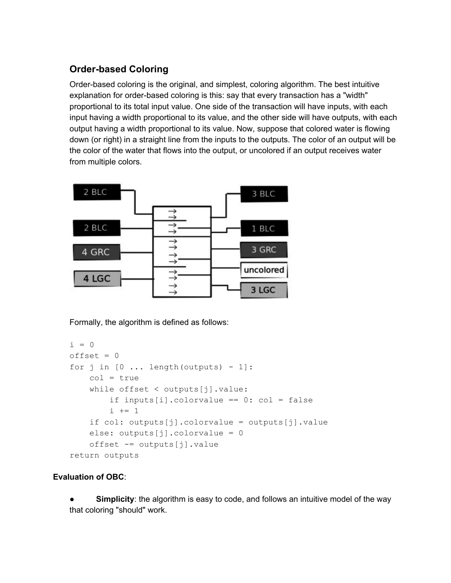## **Order-based Coloring**

Order-based coloring is the original, and simplest, coloring algorithm. The best intuitive explanation for order-based coloring is this: say that every transaction has a "width" proportional to its total input value. One side of the transaction will have inputs, with each input having a width proportional to its value, and the other side will have outputs, with each output having a width proportional to its value. Now, suppose that colored water is flowing down (or right) in a straight line from the inputs to the outputs. The color of an output will be the color of the water that flows into the output, or uncolored if an output receives water from multiple colors.



Formally, the algorithm is defined as follows:

```
i = 0offset = 0for j in [0 \ldots length(outputs) - 1]:
    col = true
    while offset < outputs[j].value:
        if inputs[i].colorvalue == 0: col = false
        i + = 1if col: outputs[j].colorvalue = outputs[j].value
    else: outputs[j].colorvalue = 0
    offset -= outputs[j].value
return outputs
```
#### **Evaluation of OBC**:

**Simplicity**: the algorithm is easy to code, and follows an intuitive model of the way that coloring "should" work.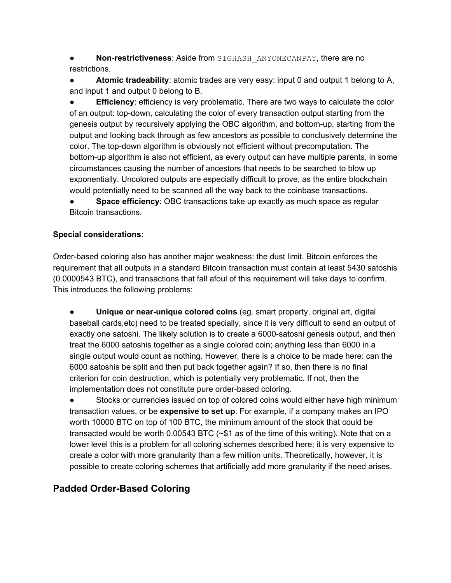**Non-restrictiveness: Aside from SIGHASH\_ANYONECANPAY, there are no** restrictions.

● **Atomic tradeability**: atomic trades are very easy: input 0 and output 1 belong to A, and input 1 and output 0 belong to B.

**Efficiency**: efficiency is very problematic. There are two ways to calculate the color of an output: top-down, calculating the color of every transaction output starting from the genesis output by recursively applying the OBC algorithm, and bottom-up, starting from the output and looking back through as few ancestors as possible to conclusively determine the color. The top-down algorithm is obviously not efficient without precomputation. The bottom-up algorithm is also not efficient, as every output can have multiple parents, in some circumstances causing the number of ancestors that needs to be searched to blow up exponentially. Uncolored outputs are especially difficult to prove, as the entire blockchain would potentially need to be scanned all the way back to the coinbase transactions.

**Space efficiency:** OBC transactions take up exactly as much space as regular Bitcoin transactions.

### **Special considerations:**

Order-based coloring also has another major weakness: the dust limit. Bitcoin enforces the requirement that all outputs in a standard Bitcoin transaction must contain at least 5430 satoshis (0.0000543 BTC), and transactions that fall afoul of this requirement will take days to confirm. This introduces the following problems:

● **Unique or near-unique colored coins** (eg. smart property, original art, digital baseball cards,etc) need to be treated specially, since it is very difficult to send an output of exactly one satoshi. The likely solution is to create a 6000-satoshi genesis output, and then treat the 6000 satoshis together as a single colored coin; anything less than 6000 in a single output would count as nothing. However, there is a choice to be made here: can the 6000 satoshis be split and then put back together again? If so, then there is no final criterion for coin destruction, which is potentially very problematic. If not, then the implementation does not constitute pure order-based coloring.

Stocks or currencies issued on top of colored coins would either have high minimum transaction values, or be **expensive to set up**. For example, if a company makes an IPO worth 10000 BTC on top of 100 BTC, the minimum amount of the stock that could be transacted would be worth 0.00543 BTC (~\$1 as of the time of this writing). Note that on a lower level this is a problem for all coloring schemes described here; it is very expensive to create a color with more granularity than a few million units. Theoretically, however, it is possible to create coloring schemes that artificially add more granularity if the need arises.

### **Padded Order-Based Coloring**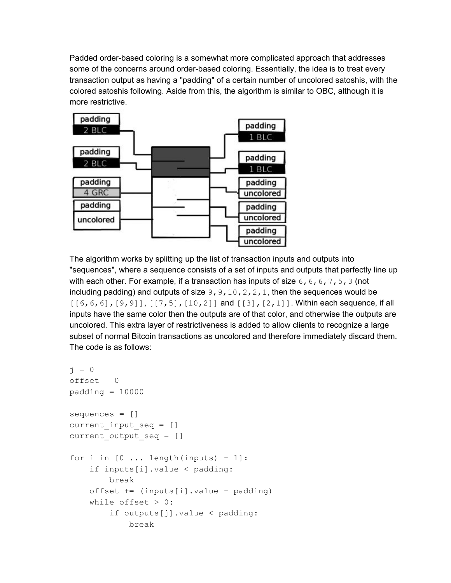Padded order-based coloring is a somewhat more complicated approach that addresses some of the concerns around order-based coloring. Essentially, the idea is to treat every transaction output as having a "padding" of a certain number of uncolored satoshis, with the colored satoshis following. Aside from this, the algorithm is similar to OBC, although it is more restrictive.



The algorithm works by splitting up the list of transaction inputs and outputs into "sequences", where a sequence consists of a set of inputs and outputs that perfectly line up with each other. For example, if a transaction has inputs of size  $6, 6, 6, 7, 5, 3$  (not including padding) and outputs of size  $9, 9, 10, 2, 2, 1$ , then the sequences would be  $[6, 6, 6]$ ,  $[9, 9]$ ],  $[7, 5]$ ,  $[10, 2]$ ] and  $[3]$ ,  $[2, 1]$ ]. Within each sequence, if all inputs have the same color then the outputs are of that color, and otherwise the outputs are uncolored. This extra layer of restrictiveness is added to allow clients to recognize a large subset of normal Bitcoin transactions as uncolored and therefore immediately discard them. The code is as follows:

```
\dot{7} = 0offset = 0padding = 10000sequences = []
current input seq = []current output seq = []
for i in [0 \ldots length(inputs) - 1]:
    if inputs[i].value < padding:
        break
    offset += (inputs[i].value - padding)
    while offset > 0:
        if outputs[j].value < padding:
            break
```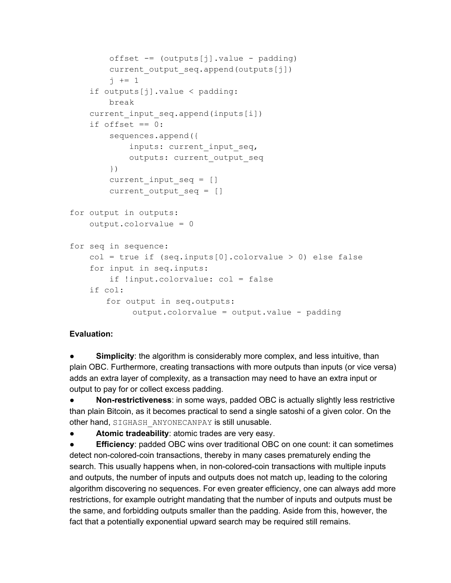```
offset = (outputs[j].value - padding)
        current output seq.append(outputs[j])
        j + = 1if outputs[j].value < padding:
       break
   current input seq.append(inputs[i])
    if offset == 0:
        sequences.append({
            inputs: current_input_seq,
            outputs: current output seq
        })
        current input seq = []current output seq = []
for output in outputs:
   output.colorvalue = 0
for seq in sequence:
   col = true if (seq.inputs[0].colorvalue > 0) else falsefor input in seq.inputs:
       if !input.colorvalue: col = false
   if col:
       for output in seq.outputs:
            output.colorvalue = output.value - padding
```
#### **Evaluation:**

**Simplicity**: the algorithm is considerably more complex, and less intuitive, than plain OBC. Furthermore, creating transactions with more outputs than inputs (or vice versa) adds an extra layer of complexity, as a transaction may need to have an extra input or output to pay for or collect excess padding.

Non-restrictiveness: in some ways, padded OBC is actually slightly less restrictive than plain Bitcoin, as it becomes practical to send a single satoshi of a given color. On the other hand, SIGHASH ANYONECANPAY is still unusable.

● **Atomic tradeability**: atomic trades are very easy.

**Efficiency**: padded OBC wins over traditional OBC on one count: it can sometimes detect non-colored-coin transactions, thereby in many cases prematurely ending the search. This usually happens when, in non-colored-coin transactions with multiple inputs and outputs, the number of inputs and outputs does not match up, leading to the coloring algorithm discovering no sequences. For even greater efficiency, one can always add more restrictions, for example outright mandating that the number of inputs and outputs must be the same, and forbidding outputs smaller than the padding. Aside from this, however, the fact that a potentially exponential upward search may be required still remains.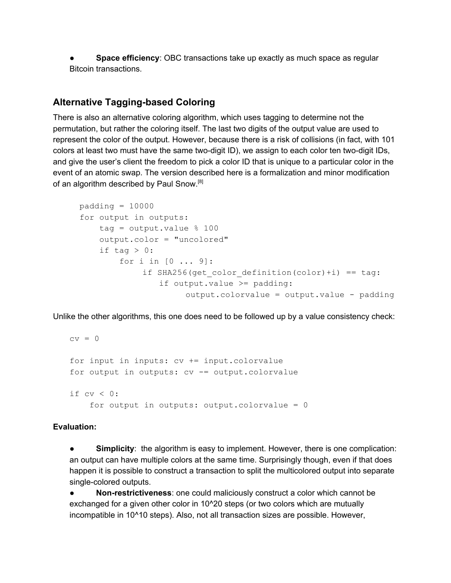**Space efficiency**: OBC transactions take up exactly as much space as regular Bitcoin transactions.

## **Alternative Tagging-based Coloring**

There is also an alternative coloring algorithm, which uses tagging to determine not the permutation, but rather the coloring itself. The last two digits of the output value are used to represent the color of the output. However, because there is a risk of collisions (in fact, with 101 colors at least two must have the same two-digit ID), we assign to each color ten two-digit IDs, and give the user's client the freedom to pick a color ID that is unique to a particular color in the event of an atomic swap. The version described here is a formalization and minor modification of an algorithm described by Paul Snow.<sup>[8]</sup>

```
padding = 10000for output in outputs:
    tag = output.value % 100
    output.color = "uncolored"
    if tag > 0:
        for i in [0 ... 9]:
             if SHA256(get color definition(color)+i) == tag:
                if output.value >= padding:
                     output.colorvalue = output.value - padding
```
Unlike the other algorithms, this one does need to be followed up by a value consistency check:

 $cv = 0$ for input in inputs: cv += input.colorvalue for output in outputs: cv -= output.colorvalue if  $cv < 0$ : for output in outputs: output.colorvalue =  $0$ 

#### **Evaluation:**

**Simplicity:** the algorithm is easy to implement. However, there is one complication: an output can have multiple colors at the same time. Surprisingly though, even if that does happen it is possible to construct a transaction to split the multicolored output into separate single-colored outputs.

**Non-restrictiveness**: one could maliciously construct a color which cannot be exchanged for a given other color in 10<sup> $\lambda$ </sup>20 steps (or two colors which are mutually incompatible in 10^10 steps). Also, not all transaction sizes are possible. However,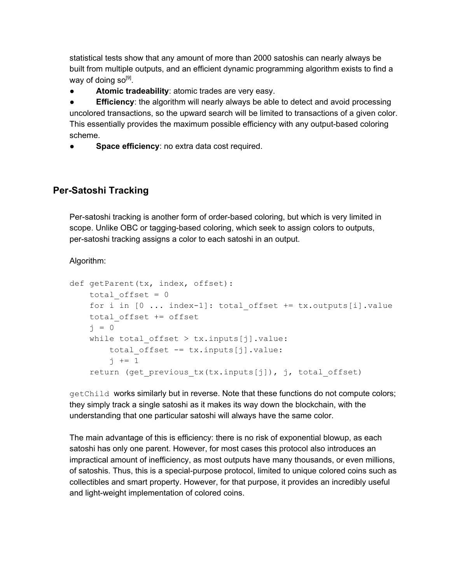statistical tests show that any amount of more than 2000 satoshis can nearly always be built from multiple outputs, and an efficient dynamic programming algorithm exists to find a way of doing so<sup>[9]</sup>.

● **Atomic tradeability**: atomic trades are very easy.

**Efficiency**: the algorithm will nearly always be able to detect and avoid processing uncolored transactions, so the upward search will be limited to transactions of a given color. This essentially provides the maximum possible efficiency with any output-based coloring scheme.

● **Space efficiency**: no extra data cost required.

## **Per-Satoshi Tracking**

Per-satoshi tracking is another form of order-based coloring, but which is very limited in scope. Unlike OBC or tagging-based coloring, which seek to assign colors to outputs, per-satoshi tracking assigns a color to each satoshi in an output.

Algorithm:

```
def getParent(tx, index, offset):
   total offset = 0for i in [0 \ldots index-1]: total offset += tx.outputs[i].value
    total_offset += offset
   \dot{\tau} = 0while total offset > tx.inputs[j].value:
        total offset - tx.inputs[j].value:
        j + = 1return (get previous tx(tx.inputs[j]), j, total offset)
```
getChild works similarly but in reverse. Note that these functions do not compute colors; they simply track a single satoshi as it makes its way down the blockchain, with the understanding that one particular satoshi will always have the same color.

The main advantage of this is efficiency: there is no risk of exponential blowup, as each satoshi has only one parent. However, for most cases this protocol also introduces an impractical amount of inefficiency, as most outputs have many thousands, or even millions, of satoshis. Thus, this is a special-purpose protocol, limited to unique colored coins such as collectibles and smart property. However, for that purpose, it provides an incredibly useful and light-weight implementation of colored coins.